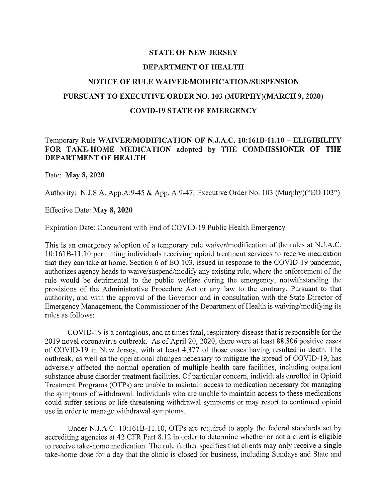## STATE OF NEW JERSEY DEPARTMENT OF HEALTH NOTICE OF RULE WAIVER/MODIFICA TION/SUSPENSION PURSUANT TO EXECUTIVE ORDER NO. 103 (MURPHY)(MARCH 9, 2020) COVID-19 STATE OF EMERGENCY

## Temporary Rule WAIVER/MODIFICATION OF N.J.A.C. 10:161B-l1.10 - ELIGIBILITY FOR TAKE-HOME MEDICATION adopted by THE COMMISSIONER OF THE DEPARTMENT OF HEALTH

## Date: May 8, 2020

Authority: N.J.S.A. App.A:9-45 & App. A:9-47; Executive Order No. 103 (Murphy)("EO 103")

## Effective Date: May 8, 2020

Expiration Date: Concurrent with End of COVID-19 Public Health Emergency

This is an emergency adoption of a temporary rule waiver/modification of the rules at N.1.A.C. 10:161B-l1.1 0 permitting individuals receiving opioid treatment services to receive medication that they can take at home. Section 6 of EO 103, issued in response to the COVID-19 pandemic, authorizes agency heads to waive/suspend/modify any existing rule, where the enforcement of the rule would be detrimental to the public welfare during the emergency, notwithstanding the provisions of the Administrative Procedure Act or any law to the contrary. Pursuant to that authority, and with the approval of the Governor and in consultation with the State Director of Emergency Management, the Commissioner of the Department of Health is waiving/modifying its rules as follows:

COVID-19 is a contagious, and at times fatal, respiratory disease that is responsible for the 2019 novel coronavirus outbreak. As of April 20, 2020, there were at least 88,806 positive cases of COVID-19 in New Jersey, with at least 4,377 of those cases having resulted in death. The outbreak, as well as the operational changes necessary to mitigate the spread of COVID-19, has adversely affected the normal operation of multiple health care facilities, including outpatient substance abuse disorder treatment facilities. Of particular concern, individuals enrolled in Opioid Treatment Programs (OTPs) are unable to maintain access to medication necessary for managing the symptoms of withdrawal. Individuals who are unable to maintain access to these medications could suffer serious or life-threatening withdrawal symptoms or may resort to continued opioid use in order to manage withdrawal symptoms.

Under N.1.A.C. 10:16IB-l1.10, OTPs are required to apply the federal standards set by accrediting agencies at 42 CFR Part 8.12 in order to determine whether or not a client is eligible to receive take-home medication. The rule further specifies that clients may only receive a single take-home dose for a day that the clinic is closed for business, including Sundays and State and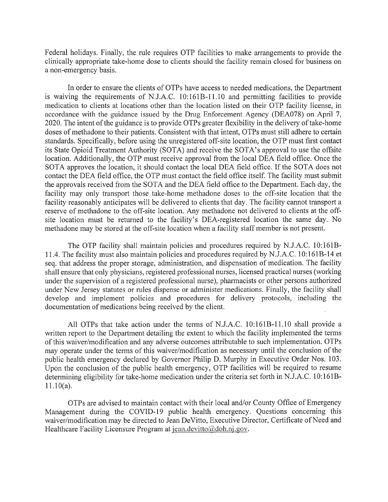Federal holidays. Finally, the rule requires OTP facilities to make arrangements to provide the clinically appropriate take-home dose to clients should the facility remain closed for business on a non-emergency basis.

In order to ensure the clients of OTPs have access to needed medications, the Department is waiving the requirements of N.J.A.C. 10:161B-11.10 and permitting facilities to provide medication to clients at locations other than the location listed on their OTP facility license, in accordance with the guidance issued by the Drug Enforcement Agency (DEA078) on April 7, 2020. The intent of the guidance is to provide OTPs greater flexibility in the delivery of take-home doses of methadone to their patients. Consistent with that intent, OTPs must still adhere to certain standards. Specifically, before using the unregistered off-site location, the OTP must first contact its State Opioid Treatment Authority (SOTA) and receive the SOTA's approval to use the offsite location. Additionally, the OTP must receive approval from the local DEA field office. Once the SOTA approves the location, it should contact the local DEA field office. If the SOTA does not contact the DEA field office, the OTP must contact the field office itself. The facility must submit the approvals received from the SOTA and the DEA field office to the Department. Each day, the facility may only transport those take-home methadone doses to the off-site location that the facility reasonably anticipates will be delivered to clients that day. The facility cannot transport a reserve of methadone to the off-site location. Any methadone not delivered to clients at the offsite location must be returned to the facility's DEA-registered location the same day. No methadone may be stored at the off-site location when a facility staff member is not present.

The OTP facility shall maintain policies and procedures required by N.lA.C. 10:161B-11.4. The facility must also maintain policies and procedures required by N.J.A.C. 10:161B-14 et seq. that address the proper storage, administration, and dispensation of medication. The facility shall ensure that only physicians, registered professional nurses, licensed practical nurses (working under the supervision of a registered professional nurse), pharmacists or other persons authorized under New Jersey statutes or rules dispense or administer medications. Finally, the facility shall develop and implement policies and procedures for delivery protocols, including the documentation of medications being received by the client.

All OTPs that take action under the terms of N.J.A.C. 10:161B-11.10 shall provide a written report to the Department detailing the extent to which the facility implemented the terms of this waiver/modification and any adverse outcomes attributable to such implementation. OTPs may operate under the terms of this waiver/modification as necessary until the conclusion of the public health emergency declared by Governor Philip D. Murphy in Executive Order Nos. 103. Upon the conclusion of the public health emergency, OTP facilities will be required to resume determining eligibility for take-home medication under the criteria set forth in N.J.A.C. 10:161B-11.10(a).

OTPs are advised to maintain contact with their local and/or County Office of Emergency Management during the COVID-19 public health emergency. Questions concerning this waiver/modification may be directed to Jean DeVitto, Executive Director, Certificate of Need and Healthcare Facility Licensure Program at jean.devitto@doh.nj.gov.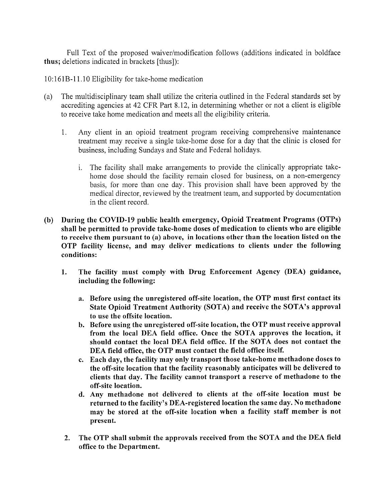Full Text of the proposed waiver/modification follows (additions indicated in boldface thus; deletions indicated in brackets [thus]):

10:161B-l1.10 Eligibility for take-home medication

- (a) The mUltidisciplinary team shall utilize the criteria outlined in the Federal standards set by accrediting agencies at 42 CFR Part 8.12, in determining whether or not a client is eligible to receive take home medication and meets all the eligibility criteria.
	- 1. Any client in an opioid treatment program receiving comprehensive maintenance treatment may receive a single take-home dose for a day that the clinic is closed for business, including Sundays and State and Federal holidays.
		- 1. The facility shall make arrangements to provide the clinically appropriate takehome dose should the facility remain closed for business, on a non-emergency basis, for more than one day. This provision shall have been approved by the medical director, reviewed by the treatment team, and supported by documentation in the client record.
- (b) During the COVID-19 public health emergency, Opioid Treatment Programs (OTPs) shall be permitted to provide take-home doses of medication to clients who are eligible to receive them pursuant to (a) above, in locations other than the location listed on the OTP facility license, and may deliver medications to clients under the following conditions:
	- 1. The facility must comply with Drug Enforcement Agency (DEA) guidance, including the following:
		- a. Before using the unregistered off-site location, the OTP must first contact its State Opioid Treatment Authority (SOTA) and receive the SOTA's approval to use the offsite location.
		- b. Before using the unregistered off-site location, the OTP must receive approval from the local DEA field office. Once the SOTA approves the location, it should contact the local DEA field office. If the SOTA does not contact the DEA field office, the OTP must contact the field office itself.
		- c. Each day, the facility may only transport those take-home methadone doses to the off-site location that the facility reasonably anticipates will be delivered to clients that day. The facility cannot transport a reserve of methadone to the off-site location.
		- d. Any methadone not delivered to clients at the off-site location must be returned to the facility's DEA-registered location the same day. No methadone may be stored at the off-site location when a facility staff member is not present.
	- 2. The OTP shall submit the approvals received from the SOTA and the DEA field office to the Department.